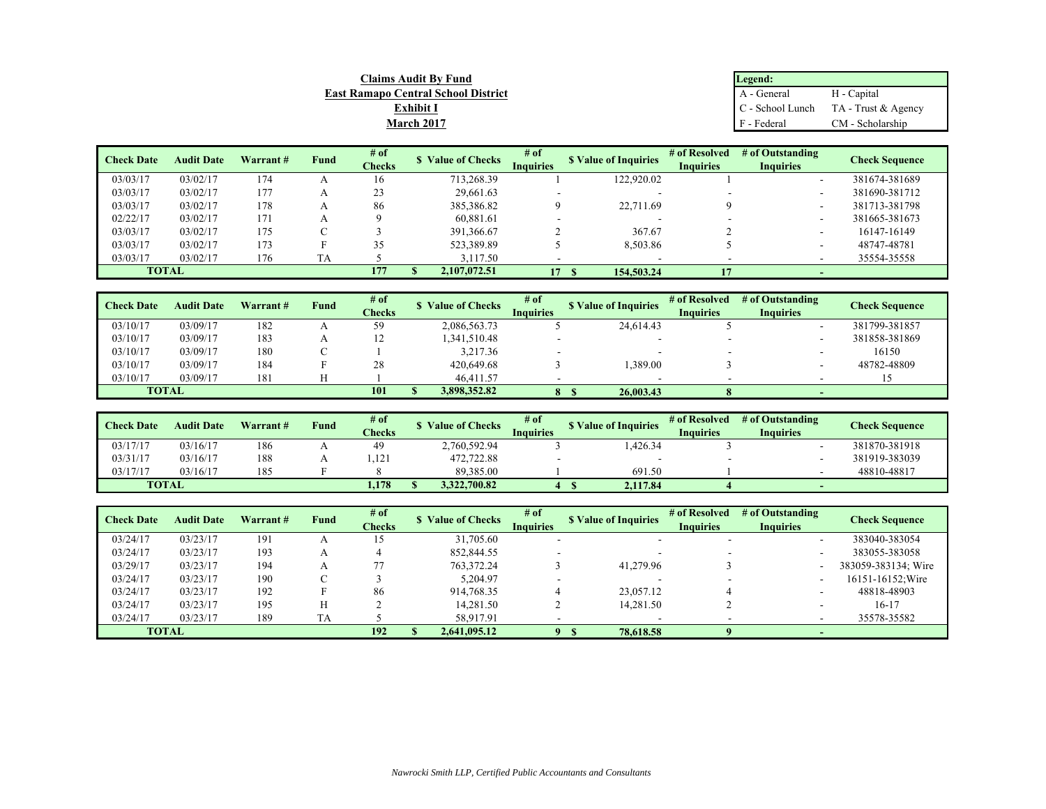| <b>Claims Audit By Fund</b>                | Legend:     |                                      |  |  |  |  |
|--------------------------------------------|-------------|--------------------------------------|--|--|--|--|
| <b>East Ramapo Central School District</b> | A - General | H - Capital                          |  |  |  |  |
| <b>Exhibit I</b>                           |             | C - School Lunch TA - Trust & Agency |  |  |  |  |
| <b>March 2017</b>                          | F - Federal | CM - Scholarship                     |  |  |  |  |
|                                            |             |                                      |  |  |  |  |

| <b>Check Date</b> | <b>Audit Date</b> | Warrant# | Fund | # of          | <b>S</b> Value of Checks | # of<br><b>S</b> Value of Inquiries |            | # of Resolved<br># of Outstanding |                          | Check Sequence |
|-------------------|-------------------|----------|------|---------------|--------------------------|-------------------------------------|------------|-----------------------------------|--------------------------|----------------|
|                   |                   |          |      | <b>Checks</b> |                          | <b>Inquiries</b>                    |            | <b>Inquiries</b>                  | <b>Inquiries</b>         |                |
| 03/03/17          | 03/02/17          | 174      |      | 16            | 713,268.39               |                                     | 122,920.02 |                                   | $\overline{\phantom{a}}$ | 381674-381689  |
| 03/03/17          | 03/02/17          | 177      |      | 23            | 29,661.63                |                                     |            |                                   |                          | 381690-381712  |
| 03/03/17          | 03/02/17          | 178      |      | 86            | 385,386.82               |                                     | 22,711.69  |                                   |                          | 381713-381798  |
| 02/22/17          | 03/02/17          | 171      |      |               | 60.881.61                |                                     |            |                                   |                          | 381665-381673  |
| 03/03/17          | 03/02/17          | 175      |      |               | 391,366.67               |                                     | 367.67     |                                   |                          | 16147-16149    |
| 03/03/17          | 03/02/17          | 173      |      | 35            | 523,389.89               |                                     | 8,503.86   |                                   |                          | 48747-48781    |
| 03/03/17          | 03/02/17          | 176      | TA   |               | 3,117.50                 |                                     |            |                                   |                          | 35554-35558    |
|                   | <b>TOTAL</b>      |          |      | 177           | 2,107,072.51             | 17                                  | 154,503.24 | 17                                |                          |                |

| <b>Check Date</b> | <b>Audit Date</b> | Warrant# | Fund | # of<br>Checks | <b>Value of Checks</b> | # of<br>Inquiries        | <b>S</b> Value of Inquiries | # of Resolved<br><b>Inquiries</b> | # of Outstanding<br><b>Inquiries</b> | <b>Check Sequence</b> |
|-------------------|-------------------|----------|------|----------------|------------------------|--------------------------|-----------------------------|-----------------------------------|--------------------------------------|-----------------------|
| 03/10/17          | 03/09/17          | 182      |      | 59             | 2,086,563.73           |                          | 24,614.43                   |                                   |                                      | 381799-381857         |
| 03/10/17          | 03/09/17          | 183      |      | - 12           | 1,341,510.48           | $\overline{\phantom{a}}$ |                             |                                   |                                      | 381858-381869         |
| 03/10/17          | 03/09/17          | 180      |      |                | 3,217.36               | -                        |                             |                                   |                                      | 16150                 |
| 03/10/17          | 03/09/17          | 184      |      | 28             | 420,649.68             |                          | .389.00                     |                                   |                                      | 48782-48809           |
| 03/10/17          | 03/09/17          | 181      |      |                | 46,411.57              |                          |                             | -                                 |                                      |                       |
| <b>TOTAL</b>      |                   |          |      | 101            | 3,898,352.82           | $^{\circ}$               | 26,003.43                   |                                   |                                      |                       |

| <b>Check Date</b> | <b>Audit Date</b> | Warrant# | <b>Fund</b> | # of<br><b><i><u>Checks</u></i></b> | Value of Checks | # of<br>Inquiries | <b>S</b> Value of Inquiries | # of Resolved<br><b>Inquiries</b> | # of Outstanding<br>Inauiries | Check Sequence |
|-------------------|-------------------|----------|-------------|-------------------------------------|-----------------|-------------------|-----------------------------|-----------------------------------|-------------------------------|----------------|
| 03/17/17          | 03/16/17          | 186      |             | -49                                 | 2,760,592.94    |                   | ,426.34                     |                                   |                               | 381870-381918  |
| 03/31/17          | 03/16/17          | 188      |             | 1.121                               | 472,722.88      |                   |                             |                                   |                               | 381919-383039  |
| 03/17/17          | 03/16/17          | 185      |             |                                     | 89,385.00       |                   | 691.50                      |                                   |                               | 48810-48817    |
| <b>TOTAL</b>      |                   |          |             | 1,178                               | 3,322,700.82    |                   | 2.117.84                    |                                   |                               |                |

| <b>Check Date</b> | <b>Audit Date</b> | Warrant# | Fund | # of<br>Checks | <b>S</b> Value of Checks | $#$ of<br><b>Inquiries</b> | <b>S</b> Value of Inquiries | # of Resolved<br><b>Inquiries</b> | # of Outstanding<br><b>Inquiries</b> | Check Sequence      |
|-------------------|-------------------|----------|------|----------------|--------------------------|----------------------------|-----------------------------|-----------------------------------|--------------------------------------|---------------------|
| 03/24/17          | 03/23/17          | 191      |      |                | 31,705.60                |                            |                             |                                   |                                      | 383040-383054       |
| 03/24/17          | 03/23/17          | 193      |      |                | 852,844.55               |                            |                             |                                   |                                      | 383055-383058       |
| 03/29/17          | 03/23/17          | 194      |      |                | 763,372.24               |                            | 41,279.96                   |                                   |                                      | 383059-383134; Wire |
| 03/24/17          | 03/23/17          | 190      |      |                | 5.204.97                 |                            |                             |                                   |                                      | 16151-16152: Wire   |
| 03/24/17          | 03/23/17          | 192      |      | 86             | 914,768.35               |                            | 23,057.12                   |                                   |                                      | 48818-48903         |
| 03/24/17          | 03/23/17          | 195      |      |                | 14.281.50                |                            | 14.281.50                   |                                   | $\overline{\phantom{a}}$             | 16-17               |
| 03/24/17          | 03/23/17          | 189      | TA   |                | 58,917.91                |                            |                             |                                   |                                      | 35578-35582         |
|                   | <b>TOTAL</b>      |          |      | 192            | 2.641.095.12             |                            | 78,618.58                   |                                   |                                      |                     |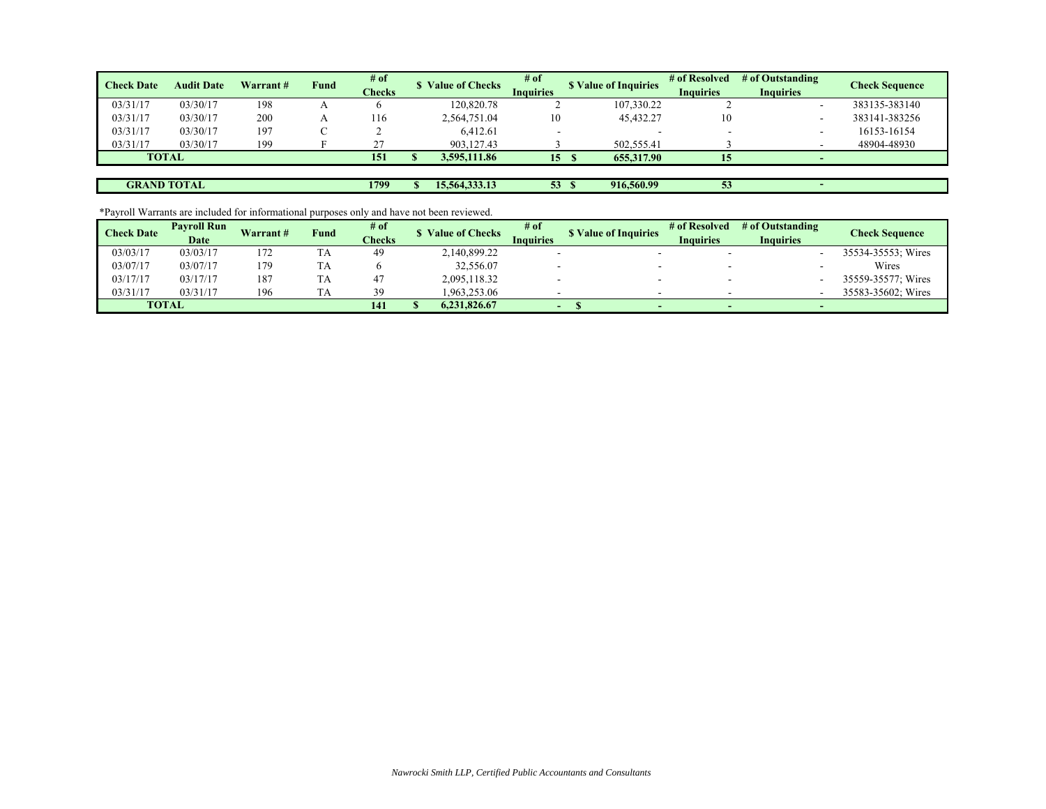| <b>Check Date</b> | <b>Audit Date</b>  | Warrant# | Fund | # of<br>Checks | <b>S</b> Value of Checks | # of<br><b>Inquiries</b> | <b>S</b> Value of Inquiries | # of Resolved<br><b>Inquiries</b> | # of Outstanding<br><b>Inquiries</b> | Check Sequence |
|-------------------|--------------------|----------|------|----------------|--------------------------|--------------------------|-----------------------------|-----------------------------------|--------------------------------------|----------------|
| 03/31/17          | 03/30/17           | 198      |      |                | 120,820.78               |                          | 107,330.22                  |                                   |                                      | 383135-383140  |
| 03/31/17          | 03/30/17           | 200      |      | 116            | 2,564,751.04             | 10                       | 45,432.27                   | 10                                |                                      | 383141-383256  |
| 03/31/17          | 03/30/17           | 197      |      |                | 6,412.61                 |                          |                             |                                   |                                      | 16153-16154    |
| 03/31/17          | 03/30/17           | 199      |      | $\mathcal{L}$  | 903.127.43               |                          | 502,555.41                  |                                   |                                      | 48904-48930    |
|                   | <b>TOTAL</b>       |          |      | 151            | 3,595,111.86             | 15                       | 655,317.90                  | 15                                |                                      |                |
|                   |                    |          |      |                |                          |                          |                             |                                   |                                      |                |
|                   | <b>GRAND TOTAL</b> |          |      | 1799           | 15,564,333.13            | 53 <sup>2</sup>          | 916,560.99                  | 53                                |                                      |                |

\*Payroll Warrants are included for informational purposes only and have not been reviewed.

| <b>Check Date</b> | <b>Pavroll Run</b> | Warrant# | Fund | # of   |              | # of<br><b>Value of Checks</b> |                             | # of Resolved                 | # of Outstanding | Check Sequence     |  |
|-------------------|--------------------|----------|------|--------|--------------|--------------------------------|-----------------------------|-------------------------------|------------------|--------------------|--|
|                   | Date               |          |      | Checks |              | <b>Inquiries</b>               | <b>S</b> Value of Inquiries | <b>Inquiries</b><br>Inauiries |                  |                    |  |
| 03/03/17          | 03/03/17           | 172      | TA   | 49     | 2,140,899.22 |                                |                             |                               |                  | 35534-35553; Wires |  |
| 03/07/17          | 03/07/17           | 179      | TA   |        | 32,556.07    |                                |                             |                               |                  | Wires              |  |
| 03/17/17          | 03/17/17           | 187      | TA   | 4.     | 2,095,118.32 |                                |                             |                               |                  | 35559-35577: Wires |  |
| 03/31/17          | 03/31/17           | 196      | TA   | 39     | .963.253.06  |                                | -                           |                               |                  | 35583-35602; Wires |  |
|                   | <b>TOTAL</b>       |          |      | 141    | 6.231.826.67 | $\overline{\phantom{0}}$       |                             |                               |                  |                    |  |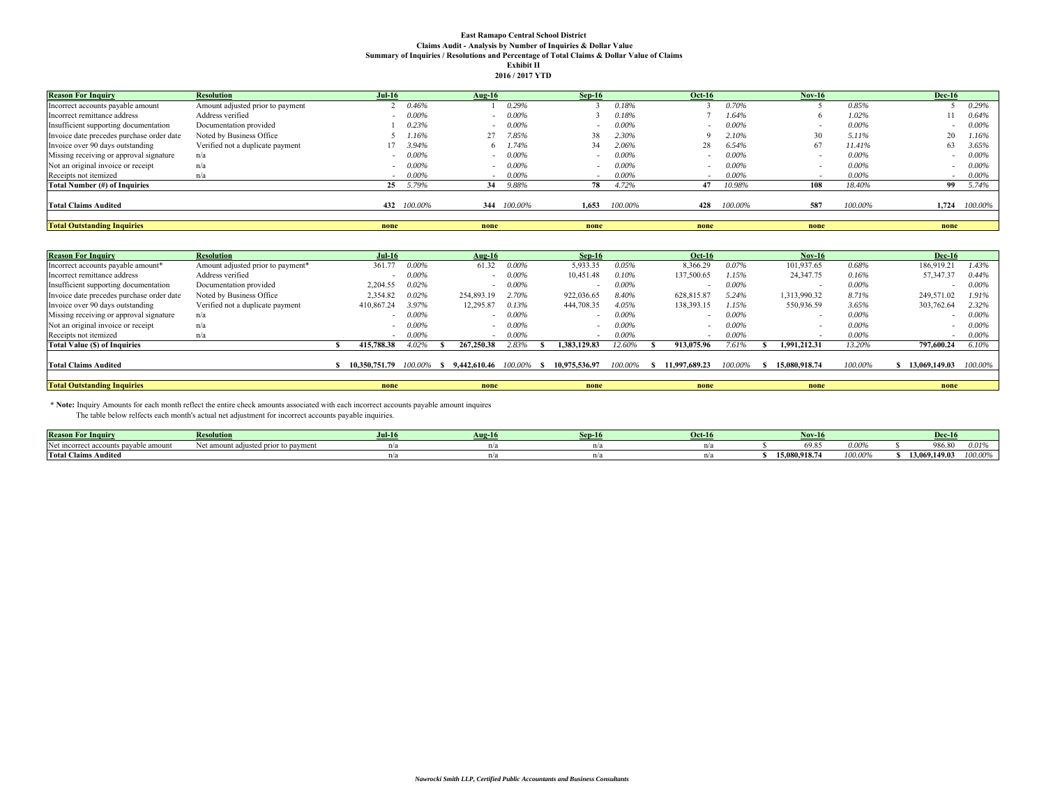## **East Ramapo Central School District Claims Audit - Analysis by Number of Inquiries & Dollar Value Summary of Inquiries / Resolutions and Percentage of Total Claims & Dollar Value of Claims Exhibit II**

|  | 2016 / 2017 YTD |
|--|-----------------|

| <b>Reason For Inquiry</b>                 | <b>Resolution</b>                | $Jul-16$ |             | Aug-16 |             | $Sep-16$ |          | <b>Oct-16</b>            |          | Nov-16 |          | <b>Dec-16</b> |          |
|-------------------------------------------|----------------------------------|----------|-------------|--------|-------------|----------|----------|--------------------------|----------|--------|----------|---------------|----------|
| Incorrect accounts payable amount         | Amount adjusted prior to payment |          | 0.46%       |        | 0.29%       |          | 0.18%    |                          | 0.70%    |        | 0.85%    |               | 0.29%    |
| Incorrect remittance address              | Address verified                 |          | $0.00\%$    | $\sim$ | 0.00%       |          | 0.18%    |                          | 1.64%    |        | 1.02%    |               | 0.64%    |
| Insufficient supporting documentation     | Documentation provided           |          | 0.23%       | $\sim$ | $0.00\%$    |          | $0.00\%$ | $\overline{\phantom{a}}$ | $0.00\%$ |        | $0.00\%$ |               | $0.00\%$ |
| Invoice date precedes purchase order date | Noted by Business Office         |          | 1.16%       |        | 7.85%       | 38       | 2.30%    |                          | 2.10%    | 30     | 5.11%    | 20            | 1.16%    |
| Invoice over 90 days outstanding          | Verified not a duplicate payment |          | 3.94%       | 6      | .74%        | 34       | 2.06%    | 28                       | 6.54%    | 67     | 11.41%   | 63            | 3.65%    |
| Missing receiving or approval signature   | n/a                              |          | $0.00\%$    |        | $0.00\%$    |          | $0.00\%$ |                          | $0.00\%$ |        | $0.00\%$ |               | $0.00\%$ |
| Not an original invoice or receipt        | n/a                              |          | $0.00\%$    |        | 0.00%       |          | $0.00\%$ |                          | $0.00\%$ |        | $0.00\%$ |               | $0.00\%$ |
| Receipts not itemized                     | n/a                              | . .      | $0.00\%$    | $\sim$ | $0.00\%$    |          | $0.00\%$ | $\sim$                   | $0.00\%$ |        | $0.00\%$ | $\sim$        | $0.00\%$ |
| Total Number (#) of Inquiries             |                                  | 25       | 5.79%       | 34     | 9.88%       | 78       | 4.72%    |                          | 10.98%   | 108    | 18.40%   | 99            | 5.74%    |
| <b>Total Claims Audited</b>               |                                  |          | 432 100,00% |        | 344 100.00% | 1.653    | 100.00%  | 428                      | 100.00%  | 587    | 100.00%  | 1.724         | 100.00%  |
| <b>Total Outstanding Inquiries</b>        |                                  | none     |             | none   |             | none     |          | none                     |          | none   |          | none          |          |

| <b>Reason For Inquiry</b>                 | <b>Resolution</b>                 | $Jul-16$      |          | $Aug-16$        |            | $Sep-16$                 |          | <b>Oct-16</b> |          | $Nov-16$      |          | <b>Dec-16</b> |          |
|-------------------------------------------|-----------------------------------|---------------|----------|-----------------|------------|--------------------------|----------|---------------|----------|---------------|----------|---------------|----------|
| Incorrect accounts payable amount*        | Amount adjusted prior to payment* | 361.77        | 0.00%    | 61.32           | 0.00%      | 5,933.35                 | 0.05%    | 8,366.29      | 0.07%    | 101,937.65    | 0.68%    | 186,919.21    | 1.43%    |
| Incorrect remittance address              | Address verified                  |               | $0.00\%$ |                 | $0.00\%$   | 10,451.48                | 0.10%    | 137,500.65    | 1.15%    | 24,347.75     | 0.16%    | 57,347.37     | 0.44%    |
| Insufficient supporting documentation     | Documentation provided            | 2.204.55      | 0.02%    |                 | $0.00\%$   |                          | $0.00\%$ |               | 0.00%    |               | $0.00\%$ |               | $0.00\%$ |
| Invoice date precedes purchase order date | Noted by Business Office          | 2.354.82      | 0.02%    | 254,893.19      | 2.70%      | 922,036.65               | 8.40%    | 628,815.87    | 5.24%    | 1.313.990.32  | 8.71%    | 249,571.02    | 1.91%    |
| Invoice over 90 days outstanding          | Verified not a duplicate payment  | 410,867.24    | 3.97%    | 12,295.87       | 0.13%      | 444,708.35               | 4.05%    | 138,393.15    | 1.15%    | 550,936.59    | 3.65%    | 303,762.64    | 2.32%    |
| Missing receiving or approval signature   | n/a                               |               | 0.00%    |                 | $0.00\%$   |                          | $0.00\%$ |               | $0.00\%$ |               | $0.00\%$ |               | $0.00\%$ |
| Not an original invoice or receipt        | n/a                               |               | $0.00\%$ |                 | $0.00\%$   | $\overline{\phantom{0}}$ | $0.00\%$ |               | $0.00\%$ |               | $0.00\%$ |               | $0.00\%$ |
| Receipts not itemized                     | n/a                               |               | 0.00%    | $\sim$          | 0.00%      | $\sim$                   | $0.00\%$ |               | 0.00%    | $\sim$        | 0.00%    | $\sim$        | $0.00\%$ |
| <b>Total Value (\$) of Inquiries</b>      |                                   | 415,788.38    | 4.02%    | 267,250.38      | 2.83%      | 1.383.129.83             | 12.60%   | 913,075.96    | 7.61%    | 1.991.212.31  | 13.20%   | 797,600.24    | 6.10%    |
| <b>Total Claims Audited</b>               |                                   | 10.350.751.79 | 100.00%  | \$ 9.442,610.46 | $100.00\%$ | 10.975.536.97            | 100.00%  | 11.997.689.23 | 100.00%  | 15.080.918.74 | 100.00%  | 13,069,149.03 | 100.00%  |
| <b>Total Outstanding Inquiries</b>        |                                   | none          |          | none            |            | none                     |          | none          |          | none          |          | none          |          |

 **\* Note:** Inquiry Amounts for each month reflect the entire check amounts associated with each incorrect accounts payable amount inquires The table below relfects each month's actual net adjustment for incorrect accounts payable inquiries.

| <b>Reason</b>               |                                | $Jul-1$ | -sep- | <b>Oct-16</b> |               |         | Dec-           |                  |
|-----------------------------|--------------------------------|---------|-------|---------------|---------------|---------|----------------|------------------|
|                             | <sup>-</sup> to payme<br>1101. |         |       |               |               | ,,,,,   | $\sim$<br>ov.e | 2010             |
| <b>Total Claims Audited</b> |                                |         |       |               | 15,080,918.74 | 100.00% | 13.069.149.03  | $100.00^{\circ}$ |